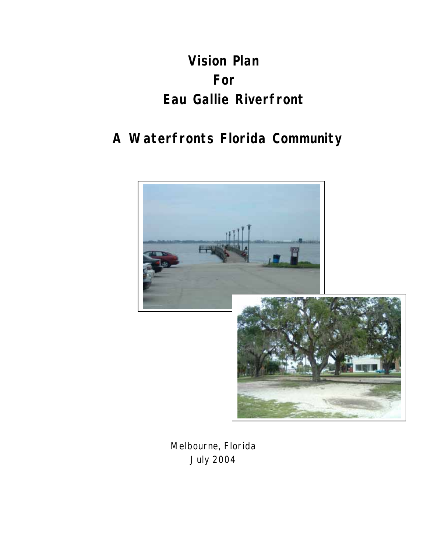# **Vision Plan For Eau Gallie Riverfront**

# **A Waterfronts Florida Community**



Melbourne, Florida July 2004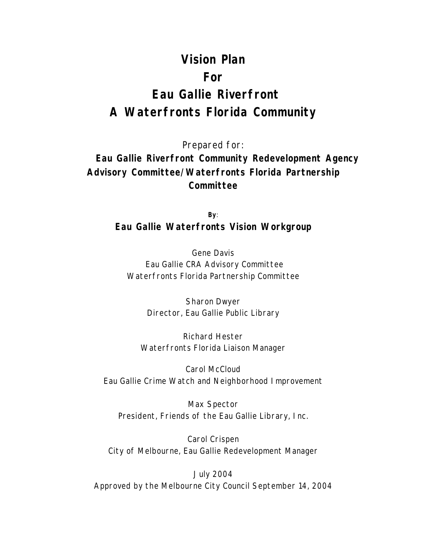# **Vision Plan For Eau Gallie Riverfront A Waterfronts Florida Community**

Prepared for: **Eau Gallie Riverfront Community Redevelopment Agency Advisory Committee/Waterfronts Florida Partnership Committee** 

> **By**: **Eau Gallie Waterfronts Vision Workgroup**

Gene Davis Eau Gallie CRA Advisory Committee Waterfronts Florida Partnership Committee

> Sharon Dwyer Director, Eau Gallie Public Library

Richard Hester Waterfronts Florida Liaison Manager

Carol McCloud Eau Gallie Crime Watch and Neighborhood Improvement

Max Spector President, Friends of the Eau Gallie Library, Inc.

Carol Crispen City of Melbourne, Eau Gallie Redevelopment Manager

July 2004 Approved by the Melbourne City Council September 14, 2004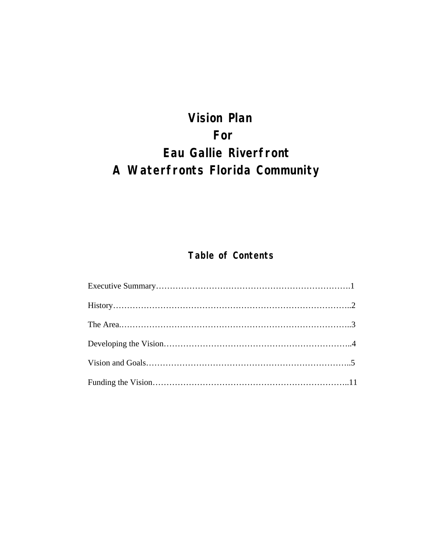# **Vision Plan For Eau Gallie Riverfront A Waterfronts Florida Community**

### **Table of Contents**

| $History. \dots 12$ |  |
|---------------------|--|
|                     |  |
|                     |  |
|                     |  |
|                     |  |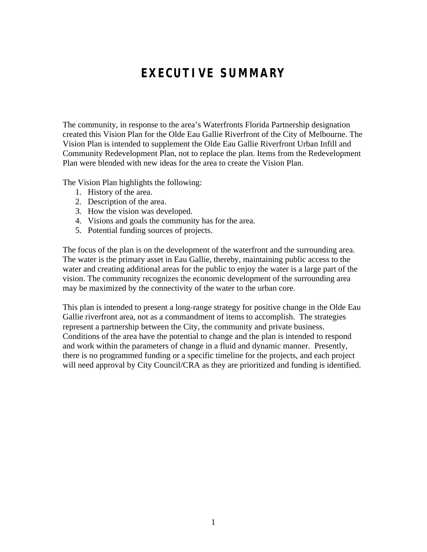## **EXECUTIVE SUMMARY**

The community, in response to the area's Waterfronts Florida Partnership designation created this Vision Plan for the Olde Eau Gallie Riverfront of the City of Melbourne. The Vision Plan is intended to supplement the Olde Eau Gallie Riverfront Urban Infill and Community Redevelopment Plan, not to replace the plan. Items from the Redevelopment Plan were blended with new ideas for the area to create the Vision Plan.

The Vision Plan highlights the following:

- 1. History of the area.
- 2. Description of the area.
- 3. How the vision was developed.
- 4. Visions and goals the community has for the area.
- 5. Potential funding sources of projects.

The focus of the plan is on the development of the waterfront and the surrounding area. The water is the primary asset in Eau Gallie, thereby, maintaining public access to the water and creating additional areas for the public to enjoy the water is a large part of the vision. The community recognizes the economic development of the surrounding area may be maximized by the connectivity of the water to the urban core.

This plan is intended to present a long-range strategy for positive change in the Olde Eau Gallie riverfront area, not as a commandment of items to accomplish. The strategies represent a partnership between the City, the community and private business. Conditions of the area have the potential to change and the plan is intended to respond and work within the parameters of change in a fluid and dynamic manner. Presently, there is no programmed funding or a specific timeline for the projects, and each project will need approval by City Council/CRA as they are prioritized and funding is identified.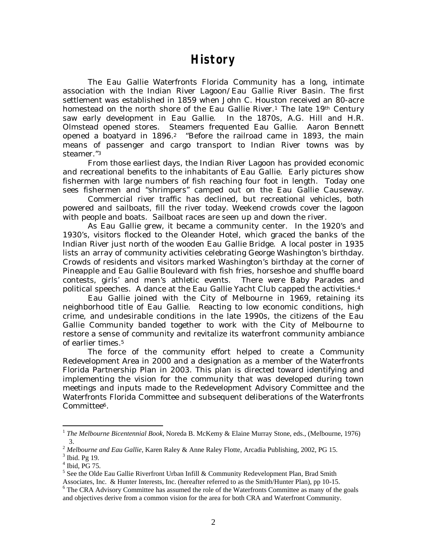The Eau Gallie Waterfronts Florida Community has a long, intimate association with the Indian River Lagoon/Eau Gallie River Basin. The first settlement was established in 1859 when John C. Houston received an 80-acre homestead on the north shore of the Eau Gallie River.<sup>1</sup> The late 19th Century saw early development in Eau Gallie. In the 1870s, A.G. Hill and H.R. Olmstead opened stores. Steamers frequented Eau Gallie. Aaron Bennett opened a boatyard in 1896.2 "Before the railroad came in 1893, the main means of passenger and cargo transport to Indian River towns was by steamer."3

 From those earliest days, the Indian River Lagoon has provided economic and recreational benefits to the inhabitants of Eau Gallie. Early pictures show fishermen with large numbers of fish reaching four foot in length. Today one sees fishermen and "shrimpers" camped out on the Eau Gallie Causeway.

 Commercial river traffic has declined, but recreational vehicles, both powered and sailboats, fill the river today. Weekend crowds cover the lagoon with people and boats. Sailboat races are seen up and down the river.

 As Eau Gallie grew, it became a community center. In the 1920's and 1930's, visitors flocked to the Oleander Hotel, which graced the banks of the Indian River just north of the wooden Eau Gallie Bridge. A local poster in 1935 lists an array of community activities celebrating George Washington's birthday. Crowds of residents and visitors marked Washington's birthday at the corner of Pineapple and Eau Gallie Boulevard with fish fries, horseshoe and shuffle board contests, girls' and men's athletic events. There were Baby Parades and political speeches. A dance at the Eau Gallie Yacht Club capped the activities.4

 Eau Gallie joined with the City of Melbourne in 1969, retaining its neighborhood title of Eau Gallie. Reacting to low economic conditions, high crime, and undesirable conditions in the late 1990s, the citizens of the Eau Gallie Community banded together to work with the City of Melbourne to restore a sense of community and revitalize its waterfront community ambiance of earlier times.5

 The force of the community effort helped to create a Community Redevelopment Area in 2000 and a designation as a member of the Waterfronts Florida Partnership Plan in 2003. This plan is directed toward identifying and implementing the vision for the community that was developed during town meetings and inputs made to the Redevelopment Advisory Committee and the Waterfronts Florida Committee and subsequent deliberations of the Waterfronts Committee6.

 $\overline{a}$ 

<sup>&</sup>lt;sup>1</sup> The Melbourne Bicentennial Book, Noreda B. McKemy & Elaine Murray Stone, eds., (Melbourne, 1976)

<sup>3. 2</sup> *Melbourne and Eau Gallie,* Karen Raley & Anne Raley Flotte, Arcadia Publishing, 2002, PG 15. 3

 $3$  Ibid. Pg 19.

<sup>4</sup> Ibid, PG 75.

<sup>&</sup>lt;sup>5</sup> See the Olde Eau Gallie Riverfront Urban Infill & Community Redevelopment Plan, Brad Smith Associates, Inc. & Hunter Interests, Inc. (hereafter referred to as the Smith/Hunter Plan), pp 10-15. 6

<sup>&</sup>lt;sup>6</sup> The CRA Advisory Committee has assumed the role of the Waterfronts Committee as many of the goals and objectives derive from a common vision for the area for both CRA and Waterfront Community.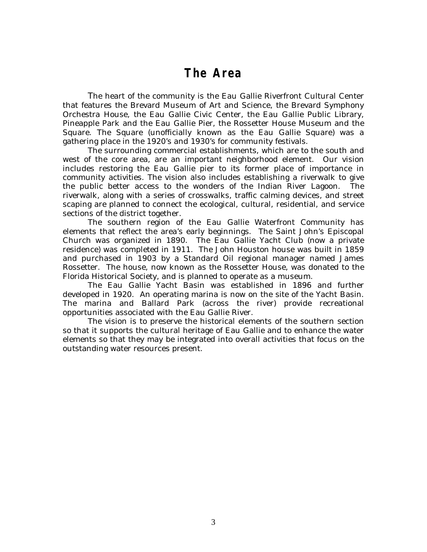## **The Area**

 The heart of the community is the Eau Gallie Riverfront Cultural Center that features the Brevard Museum of Art and Science, the Brevard Symphony Orchestra House, the Eau Gallie Civic Center, the Eau Gallie Public Library, Pineapple Park and the Eau Gallie Pier, the Rossetter House Museum and the Square. The Square (unofficially known as the Eau Gallie Square) was a gathering place in the 1920's and 1930's for community festivals.

The surrounding commercial establishments, which are to the south and west of the core area, are an important neighborhood element. Our vision includes restoring the Eau Gallie pier to its former place of importance in community activities. The vision also includes establishing a riverwalk to give the public better access to the wonders of the Indian River Lagoon. The riverwalk, along with a series of crosswalks, traffic calming devices, and street scaping are planned to connect the ecological, cultural, residential, and service sections of the district together.

The southern region of the Eau Gallie Waterfront Community has elements that reflect the area's early beginnings. The Saint John's Episcopal Church was organized in 1890. The Eau Gallie Yacht Club (now a private residence) was completed in 1911. The John Houston house was built in 1859 and purchased in 1903 by a Standard Oil regional manager named James Rossetter. The house, now known as the Rossetter House, was donated to the Florida Historical Society, and is planned to operate as a museum.

The Eau Gallie Yacht Basin was established in 1896 and further developed in 1920. An operating marina is now on the site of the Yacht Basin. The marina and Ballard Park (across the river) provide recreational opportunities associated with the Eau Gallie River.

The vision is to preserve the historical elements of the southern section so that it supports the cultural heritage of Eau Gallie and to enhance the water elements so that they may be integrated into overall activities that focus on the outstanding water resources present.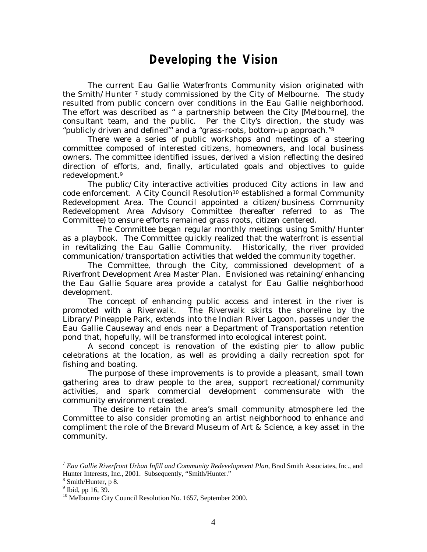### **Developing the Vision**

The current Eau Gallie Waterfronts Community vision originated with the Smith/Hunter  $\frac{7}{1}$  study commissioned by the City of Melbourne. The study resulted from public concern over conditions in the Eau Gallie neighborhood. The effort was described as " a partnership between the City [Melbourne], the consultant team, and the public. Per the City's direction, the study was "publicly driven and defined'" and a "grass-roots, bottom-up approach."8

There were a series of public workshops and meetings of a steering committee composed of interested citizens, homeowners, and local business owners. The committee identified issues, derived a vision reflecting the desired direction of efforts, and, finally, articulated goals and objectives to guide redevelopment.9

The public/City interactive activities produced City actions in law and code enforcement. A City Council Resolution10 established a formal Community Redevelopment Area. The Council appointed a citizen/business Community Redevelopment Area Advisory Committee (hereafter referred to as The Committee) to ensure efforts remained grass roots, citizen centered.

 The Committee began regular monthly meetings using Smith/Hunter as a playbook. The Committee quickly realized that the waterfront is essential in revitalizing the Eau Gallie Community. Historically, the river provided communication/transportation activities that welded the community together.

The Committee, through the City, commissioned development of a Riverfront Development Area Master Plan. Envisioned was retaining/enhancing the Eau Gallie Square area provide a catalyst for Eau Gallie neighborhood development.

The concept of enhancing public access and interest in the river is promoted with a Riverwalk. The Riverwalk skirts the shoreline by the Library/Pineapple Park, extends into the Indian River Lagoon, passes under the Eau Gallie Causeway and ends near a Department of Transportation retention pond that, hopefully, will be transformed into ecological interest point.

A second concept is renovation of the existing pier to allow public celebrations at the location, as well as providing a daily recreation spot for fishing and boating.

The purpose of these improvements is to provide a pleasant, small town gathering area to draw people to the area, support recreational/community activities, and spark commercial development commensurate with the community environment created.

 The desire to retain the area's small community atmosphere led the Committee to also consider promoting an artist neighborhood to enhance and compliment the role of the Brevard Museum of Art & Science, a key asset in the community.

 $\overline{a}$ 

<sup>7</sup> *Eau Gallie Riverfront Urban Infill and Community Redevelopment Plan,* Brad Smith Associates, Inc., and Hunter Interests, Inc., 2001. Subsequently, "Smith/Hunter."

<sup>8</sup> Smith/Hunter, p 8.

<sup>&</sup>lt;sup>9</sup> Ibid, pp 16, 39.

<sup>&</sup>lt;sup>10</sup> Melbourne City Council Resolution No. 1657, September 2000.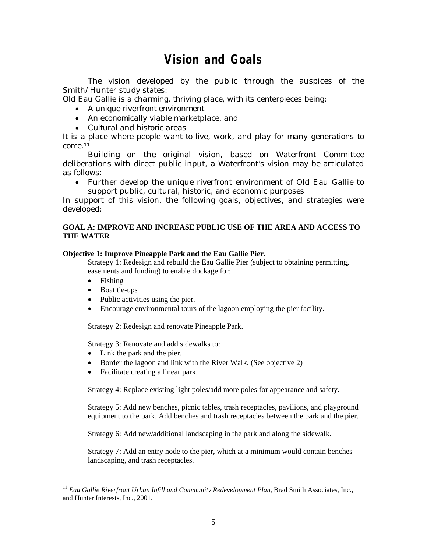## **Vision and Goals**

 The vision developed by the public through the auspices of the Smith/Hunter study states:

*Old Eau Gallie is a charming, thriving place, with its centerpieces being:* 

- *A unique riverfront environment*
- *An economically viable marketplace, and*
- *Cultural and historic areas*

*It is a place where people want to live, work, and play for many generations to come.11*

Building on the original vision, based on Waterfront Committee deliberations with direct public input, a Waterfront's vision may be articulated as follows:

• Further develop the unique riverfront environment of Old Eau Gallie to support public, cultural, historic, and economic purposes

In support of this vision, the following goals, objectives, and strategies were developed:

#### **GOAL A: IMPROVE AND INCREASE PUBLIC USE OF THE AREA AND ACCESS TO THE WATER**

#### **Objective 1: Improve Pineapple Park and the Eau Gallie Pier.**

Strategy 1: Redesign and rebuild the Eau Gallie Pier (subject to obtaining permitting, easements and funding) to enable dockage for:

• Fishing

 $\overline{a}$ 

- Boat tie-ups
- Public activities using the pier.
- Encourage environmental tours of the lagoon employing the pier facility.

Strategy 2: Redesign and renovate Pineapple Park.

Strategy 3: Renovate and add sidewalks to:

- Link the park and the pier.
- Border the lagoon and link with the River Walk. (See objective 2)
- Facilitate creating a linear park.

Strategy 4: Replace existing light poles/add more poles for appearance and safety.

Strategy 5: Add new benches, picnic tables, trash receptacles, pavilions, and playground equipment to the park. Add benches and trash receptacles between the park and the pier.

Strategy 6: Add new/additional landscaping in the park and along the sidewalk.

Strategy 7: Add an entry node to the pier, which at a minimum would contain benches landscaping, and trash receptacles.

<sup>&</sup>lt;sup>11</sup> *Eau Gallie Riverfront Urban Infill and Community Redevelopment Plan, Brad Smith Associates, Inc.,* and Hunter Interests, Inc., 2001.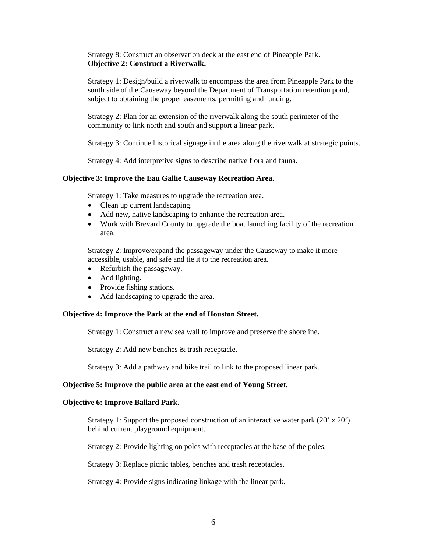Strategy 8: Construct an observation deck at the east end of Pineapple Park. **Objective 2: Construct a Riverwalk.** 

Strategy 1: Design/build a riverwalk to encompass the area from Pineapple Park to the south side of the Causeway beyond the Department of Transportation retention pond, subject to obtaining the proper easements, permitting and funding.

Strategy 2: Plan for an extension of the riverwalk along the south perimeter of the community to link north and south and support a linear park.

Strategy 3: Continue historical signage in the area along the riverwalk at strategic points.

Strategy 4: Add interpretive signs to describe native flora and fauna.

#### **Objective 3: Improve the Eau Gallie Causeway Recreation Area.**

Strategy 1: Take measures to upgrade the recreation area.

- Clean up current landscaping.
- Add new, native landscaping to enhance the recreation area.
- Work with Brevard County to upgrade the boat launching facility of the recreation area.

Strategy 2: Improve/expand the passageway under the Causeway to make it more accessible, usable, and safe and tie it to the recreation area.

- Refurbish the passageway.
- Add lighting.
- Provide fishing stations.
- Add landscaping to upgrade the area.

#### **Objective 4: Improve the Park at the end of Houston Street.**

Strategy 1: Construct a new sea wall to improve and preserve the shoreline.

Strategy 2: Add new benches & trash receptacle.

Strategy 3: Add a pathway and bike trail to link to the proposed linear park.

#### **Objective 5: Improve the public area at the east end of Young Street.**

#### **Objective 6: Improve Ballard Park.**

Strategy 1: Support the proposed construction of an interactive water park  $(20' \times 20')$ behind current playground equipment.

Strategy 2: Provide lighting on poles with receptacles at the base of the poles.

Strategy 3: Replace picnic tables, benches and trash receptacles.

Strategy 4: Provide signs indicating linkage with the linear park.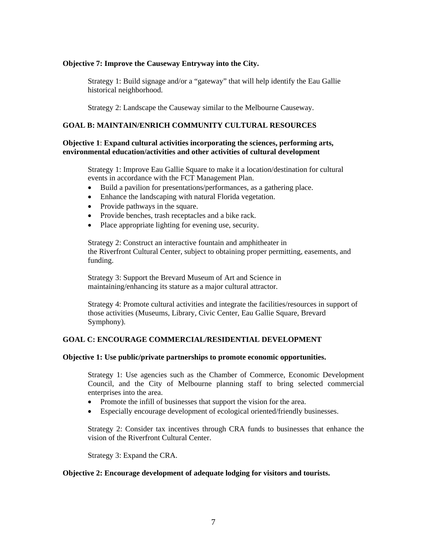#### **Objective 7: Improve the Causeway Entryway into the City.**

Strategy 1: Build signage and/or a "gateway" that will help identify the Eau Gallie historical neighborhood.

Strategy 2: Landscape the Causeway similar to the Melbourne Causeway.

#### **GOAL B: MAINTAIN/ENRICH COMMUNITY CULTURAL RESOURCES**

#### **Objective 1**: **Expand cultural activities incorporating the sciences, performing arts, environmental education/activities and other activities of cultural development**

Strategy 1: Improve Eau Gallie Square to make it a location/destination for cultural events in accordance with the FCT Management Plan.

- Build a pavilion for presentations/performances, as a gathering place.
- Enhance the landscaping with natural Florida vegetation.
- Provide pathways in the square.
- Provide benches, trash receptacles and a bike rack.
- Place appropriate lighting for evening use, security.

 Strategy 2: Construct an interactive fountain and amphitheater in the Riverfront Cultural Center, subject to obtaining proper permitting, easements, and funding.

 Strategy 3: Support the Brevard Museum of Art and Science in maintaining/enhancing its stature as a major cultural attractor.

Strategy 4: Promote cultural activities and integrate the facilities/resources in support of those activities (Museums, Library, Civic Center, Eau Gallie Square, Brevard Symphony).

#### **GOAL C: ENCOURAGE COMMERCIAL/RESIDENTIAL DEVELOPMENT**

#### **Objective 1: Use public/private partnerships to promote economic opportunities.**

Strategy 1: Use agencies such as the Chamber of Commerce, Economic Development Council, and the City of Melbourne planning staff to bring selected commercial enterprises into the area.

- Promote the infill of businesses that support the vision for the area.
- Especially encourage development of ecological oriented/friendly businesses.

Strategy 2: Consider tax incentives through CRA funds to businesses that enhance the vision of the Riverfront Cultural Center.

Strategy 3: Expand the CRA.

#### **Objective 2: Encourage development of adequate lodging for visitors and tourists.**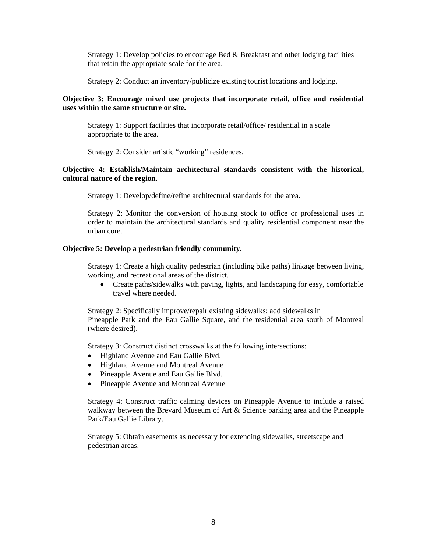Strategy 1: Develop policies to encourage Bed & Breakfast and other lodging facilities that retain the appropriate scale for the area.

Strategy 2: Conduct an inventory/publicize existing tourist locations and lodging.

#### **Objective 3: Encourage mixed use projects that incorporate retail, office and residential uses within the same structure or site.**

Strategy 1: Support facilities that incorporate retail/office/ residential in a scale appropriate to the area.

Strategy 2: Consider artistic "working" residences.

#### **Objective 4: Establish/Maintain architectural standards consistent with the historical, cultural nature of the region.**

Strategy 1: Develop/define/refine architectural standards for the area.

Strategy 2: Monitor the conversion of housing stock to office or professional uses in order to maintain the architectural standards and quality residential component near the urban core.

#### **Objective 5: Develop a pedestrian friendly community.**

Strategy 1: Create a high quality pedestrian (including bike paths) linkage between living, working, and recreational areas of the district.

• Create paths/sidewalks with paving, lights, and landscaping for easy, comfortable travel where needed.

Strategy 2: Specifically improve/repair existing sidewalks; add sidewalks in Pineapple Park and the Eau Gallie Square, and the residential area south of Montreal (where desired).

Strategy 3: Construct distinct crosswalks at the following intersections:

- Highland Avenue and Eau Gallie Blvd.
- Highland Avenue and Montreal Avenue
- Pineapple Avenue and Eau Gallie Blvd.
- Pineapple Avenue and Montreal Avenue

Strategy 4: Construct traffic calming devices on Pineapple Avenue to include a raised walkway between the Brevard Museum of Art & Science parking area and the Pineapple Park/Eau Gallie Library.

Strategy 5: Obtain easements as necessary for extending sidewalks, streetscape and pedestrian areas.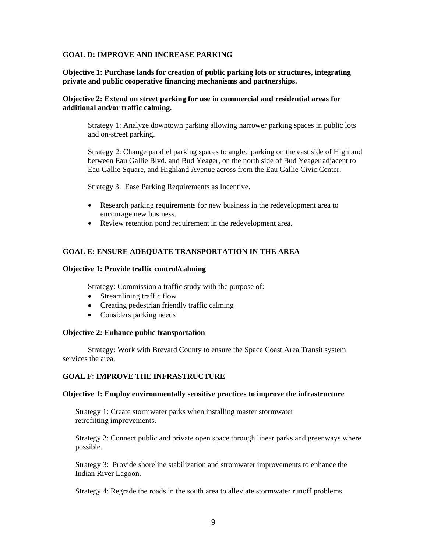#### **GOAL D: IMPROVE AND INCREASE PARKING**

#### **Objective 1: Purchase lands for creation of public parking lots or structures, integrating private and public cooperative financing mechanisms and partnerships.**

#### **Objective 2: Extend on street parking for use in commercial and residential areas for additional and/or traffic calming.**

Strategy 1: Analyze downtown parking allowing narrower parking spaces in public lots and on-street parking.

Strategy 2: Change parallel parking spaces to angled parking on the east side of Highland between Eau Gallie Blvd. and Bud Yeager, on the north side of Bud Yeager adjacent to Eau Gallie Square, and Highland Avenue across from the Eau Gallie Civic Center.

Strategy 3: Ease Parking Requirements as Incentive.

- Research parking requirements for new business in the redevelopment area to encourage new business.
- Review retention pond requirement in the redevelopment area.

#### **GOAL E: ENSURE ADEQUATE TRANSPORTATION IN THE AREA**

#### **Objective 1: Provide traffic control/calming**

Strategy: Commission a traffic study with the purpose of:

- Streamlining traffic flow
- Creating pedestrian friendly traffic calming
- Considers parking needs

#### **Objective 2: Enhance public transportation**

 Strategy: Work with Brevard County to ensure the Space Coast Area Transit system services the area.

#### **GOAL F: IMPROVE THE INFRASTRUCTURE**

#### **Objective 1: Employ environmentally sensitive practices to improve the infrastructure**

Strategy 1: Create stormwater parks when installing master stormwater retrofitting improvements.

Strategy 2: Connect public and private open space through linear parks and greenways where possible.

Strategy 3: Provide shoreline stabilization and stromwater improvements to enhance the Indian River Lagoon.

Strategy 4: Regrade the roads in the south area to alleviate stormwater runoff problems.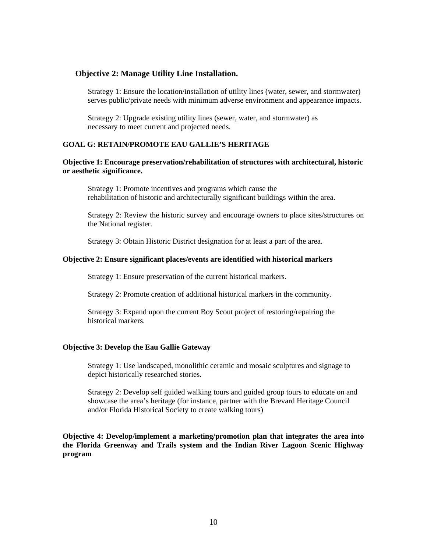#### **Objective 2: Manage Utility Line Installation.**

Strategy 1: Ensure the location/installation of utility lines (water, sewer, and stormwater) serves public/private needs with minimum adverse environment and appearance impacts.

Strategy 2: Upgrade existing utility lines (sewer, water, and stormwater) as necessary to meet current and projected needs.

#### **GOAL G: RETAIN/PROMOTE EAU GALLIE'S HERITAGE**

#### **Objective 1: Encourage preservation/rehabilitation of structures with architectural, historic or aesthetic significance.**

Strategy 1: Promote incentives and programs which cause the rehabilitation of historic and architecturally significant buildings within the area.

Strategy 2: Review the historic survey and encourage owners to place sites/structures on the National register.

Strategy 3: Obtain Historic District designation for at least a part of the area.

#### **Objective 2: Ensure significant places/events are identified with historical markers**

Strategy 1: Ensure preservation of the current historical markers.

Strategy 2: Promote creation of additional historical markers in the community.

 Strategy 3: Expand upon the current Boy Scout project of restoring/repairing the historical markers.

#### **Objective 3: Develop the Eau Gallie Gateway**

Strategy 1: Use landscaped, monolithic ceramic and mosaic sculptures and signage to depict historically researched stories.

Strategy 2: Develop self guided walking tours and guided group tours to educate on and showcase the area's heritage (for instance, partner with the Brevard Heritage Council and/or Florida Historical Society to create walking tours)

**Objective 4: Develop/implement a marketing/promotion plan that integrates the area into the Florida Greenway and Trails system and the Indian River Lagoon Scenic Highway program**